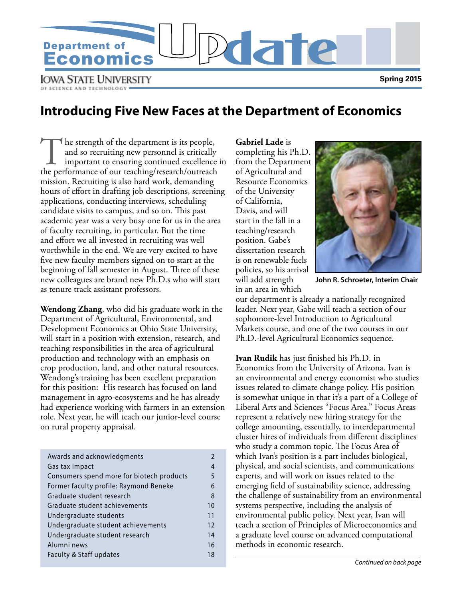

**IOWA STATE UNIVERSITY** OF SCIENCE AND TECHNOLOGY

### **Introducing Five New Faces at the Department of Economics**

The strength of the department is its people,<br>and so recruiting new personnel is critically<br>important to ensuring continued excellence<br>the performance of our teaching/research/outreach and so recruiting new personnel is critically important to ensuring continued excellence in the performance of our teaching/research/outreach mission. Recruiting is also hard work, demanding hours of effort in drafting job descriptions, screening applications, conducting interviews, scheduling candidate visits to campus, and so on. This past academic year was a very busy one for us in the area of faculty recruiting, in particular. But the time and effort we all invested in recruiting was well worthwhile in the end. We are very excited to have five new faculty members signed on to start at the beginning of fall semester in August. Three of these new colleagues are brand new Ph.D.s who will start as tenure track assistant professors.

**Wendong Zhang**, who did his graduate work in the Department of Agricultural, Environmental, and Development Economics at Ohio State University, will start in a position with extension, research, and teaching responsibilities in the area of agricultural production and technology with an emphasis on crop production, land, and other natural resources. Wendong's training has been excellent preparation for this position: His research has focused on land management in agro-ecosystems and he has already had experience working with farmers in an extension role. Next year, he will teach our junior-level course on rural property appraisal.

| Awards and acknowledgments                |    |
|-------------------------------------------|----|
| Gas tax impact                            | 4  |
| Consumers spend more for biotech products | 5  |
| Former faculty profile: Raymond Beneke    | 6  |
| Graduate student research                 | 8  |
| Graduate student achievements             | 10 |
| Undergraduate students                    | 11 |
| Undergraduate student achievements        | 12 |
| Undergraduate student research            | 14 |
| Alumni news                               | 16 |
| Faculty & Staff updates                   | 18 |

**Gabriel Lade** is completing his Ph.D. from the Department of Agricultural and Resource Economics of the University of California, Davis, and will start in the fall in a teaching/research position. Gabe's dissertation research is on renewable fuels policies, so his arrival will add strength in an area in which



**John R. Schroeter, Interim Chair**

our department is already a nationally recognized leader. Next year, Gabe will teach a section of our sophomore-level Introduction to Agricultural Markets course, and one of the two courses in our Ph.D.-level Agricultural Economics sequence.

**Ivan Rudik** has just finished his Ph.D. in Economics from the University of Arizona. Ivan is an environmental and energy economist who studies issues related to climate change policy. His position is somewhat unique in that it's a part of a College of Liberal Arts and Sciences "Focus Area." Focus Areas represent a relatively new hiring strategy for the college amounting, essentially, to interdepartmental cluster hires of individuals from different disciplines who study a common topic. The Focus Area of which Ivan's position is a part includes biological, physical, and social scientists, and communications experts, and will work on issues related to the emerging field of sustainability science, addressing the challenge of sustainability from an environmental systems perspective, including the analysis of environmental public policy. Next year, Ivan will teach a section of Principles of Microeconomics and a graduate level course on advanced computational methods in economic research.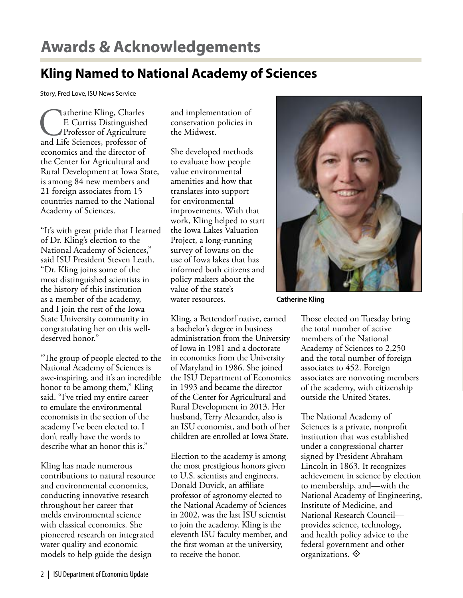# **Awards & Acknowledgements**

## **Kling Named to National Academy of Sciences**

Story, Fred Love, ISU News Service

**Catherine Kling, Charles<br>
F. Curtiss Distinguished<br>
Professor of Agriculture<br>
and Life Sciences, professor of** F. Curtiss Distinguished Professor of Agriculture economics and the director of the Center for Agricultural and Rural Development at Iowa State, is among 84 new members and 21 foreign associates from 15 countries named to the National Academy of Sciences.

"It's with great pride that I learned of Dr. Kling's election to the National Academy of Sciences," said ISU President Steven Leath. "Dr. Kling joins some of the most distinguished scientists in the history of this institution as a member of the academy, and I join the rest of the Iowa State University community in congratulating her on this welldeserved honor."

"The group of people elected to the National Academy of Sciences is awe-inspiring, and it's an incredible honor to be among them," Kling said. "I've tried my entire career to emulate the environmental economists in the section of the academy I've been elected to. I don't really have the words to describe what an honor this is."

Kling has made numerous contributions to natural resource and environmental economics, conducting innovative research throughout her career that melds environmental science with classical economics. She pioneered research on integrated water quality and economic models to help guide the design

and implementation of conservation policies in the Midwest.

She developed methods to evaluate how people value environmental amenities and how that translates into support for environmental improvements. With that work, Kling helped to start the Iowa Lakes Valuation Project, a long-running survey of Iowans on the use of Iowa lakes that has informed both citizens and policy makers about the value of the state's water resources.

Kling, a Bettendorf native, earned a bachelor's degree in business administration from the University of Iowa in 1981 and a doctorate in economics from the University of Maryland in 1986. She joined the ISU Department of Economics in 1993 and became the director of the Center for Agricultural and Rural Development in 2013. Her husband, Terry Alexander, also is an ISU economist, and both of her children are enrolled at Iowa State.

Election to the academy is among the most prestigious honors given to U.S. scientists and engineers. Donald Duvick, an affiliate professor of agronomy elected to the National Academy of Sciences in 2002, was the last ISU scientist to join the academy. Kling is the eleventh ISU faculty member, and the first woman at the university, to receive the honor.



**Catherine Kling**

Those elected on Tuesday bring the total number of active members of the National Academy of Sciences to 2,250 and the total number of foreign associates to 452. Foreign associates are nonvoting members of the academy, with citizenship outside the United States.

The National Academy of Sciences is a private, nonprofit institution that was established under a congressional charter signed by President Abraham Lincoln in 1863. It recognizes achievement in science by election to membership, and—with the National Academy of Engineering, Institute of Medicine, and National Research Council provides science, technology, and health policy advice to the federal government and other organizations.  $\diamondsuit$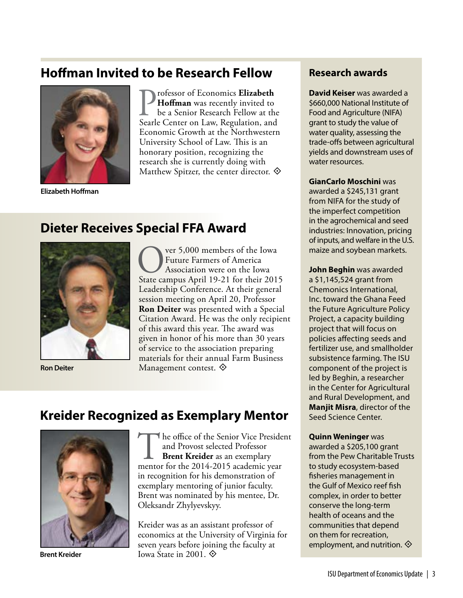### **Hoffman Invited to be Research Fellow**



**Elizabeth Hoffman**

**Professor of Economics Elizabeth <br>
be a Senior Research Fellow at the<br>
Searle Center on Law, Regulation, and Hoffman** was recently invited to be a Senior Research Fellow at the Economic Growth at the Northwestern University School of Law. This is an honorary position, recognizing the research she is currently doing with Matthew Spitzer, the center director.  $\diamondsuit$ 

### **Dieter Receives Special FFA Award**



**OVERT 5,000 members of the Iowa<br>
Future Farmers of America<br>
State campus April 19-21 for their 2015** Future Farmers of America Association were on the Iowa Leadership Conference. At their general session meeting on April 20, Professor **Ron Deiter** was presented with a Special Citation Award. He was the only recipient of this award this year. The award was given in honor of his more than 30 years of service to the association preparing materials for their annual Farm Business **Ron Deiter** Management contest.  $\diamondsuit$ 

### **Kreider Recognized as Exemplary Mentor**



The office of the Senior Vice President<br>
and Provost selected Professor<br> **Brent Kreider** as an exemplary<br>
mentor for the 2014-2015 academic year and Provost selected Professor **Brent Kreider** as an exemplary in recognition for his demonstration of exemplary mentoring of junior faculty. Brent was nominated by his mentee, Dr. Oleksandr Zhylyevskyy.

Kreider was as an assistant professor of economics at the University of Virginia for seven years before joining the faculty at **Brent Kreider Iowa State in 2001.**  $\diamondsuit$ 

### **Research awards**

**David Keiser** was awarded a \$660,000 National Institute of Food and Agriculture (NIFA) grant to study the value of water quality, assessing the trade-offs between agricultural yields and downstream uses of water resources.

**GianCarlo Moschini** was awarded a \$245,131 grant from NIFA for the study of the imperfect competition in the agrochemical and seed industries: Innovation, pricing of inputs, and welfare in the U.S. maize and soybean markets.

**John Beghin** was awarded a \$1,145,524 grant from Chemonics International, Inc. toward the Ghana Feed the Future Agriculture Policy Project, a capacity building project that will focus on policies affecting seeds and fertilizer use, and smallholder subsistence farming. The ISU component of the project is led by Beghin, a researcher in the Center for Agricultural and Rural Development, and **Manjit Misra**, director of the Seed Science Center.

**Quinn Weninger** was awarded a \$205,100 grant from the Pew Charitable Trusts to study ecosystem-based fisheries management in the Gulf of Mexico reef fish complex, in order to better conserve the long-term health of oceans and the communities that depend on them for recreation, employment, and nutrition.  $\diamondsuit$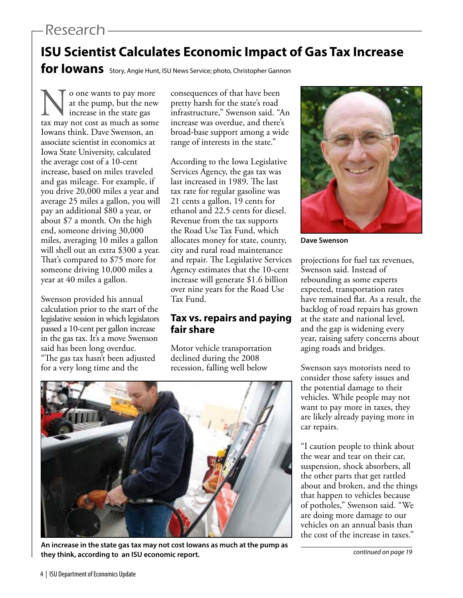## Research

# **ISU Scientist Calculates Economic Impact of Gas Tax Increase**

for lowans Story, Angie Hunt, ISU News Service; photo, Christopher Gannon

No one wants to pay more tax may not cost as much as some at the pump, but the new increase in the state gas Iowans think. Dave Swenson, an associate scientist in economics at Iowa State University, calculated the average cost of a 10-cent increase, based on miles traveled and gas mileage. For example, if you drive 20,000 miles a year and average 25 miles a gallon, you will pay an additional \$80 a year, or about \$7 a month. On the high end, someone driving 30,000 miles, averaging 10 miles a gallon will shell out an extra \$300 a year. That's compared to \$75 more for someone driving 10,000 miles a year at 40 miles a gallon.

Swenson provided his annual calculation prior to the start of the legislative session in which legislators passed a 10-cent per gallon increase in the gas tax. It's a move Swenson said has been long overdue. "The gas tax hasn't been adjusted for a very long time and the

consequences of that have been pretty harsh for the state's road infrastructure," Swenson said. "An increase was overdue, and there's broad-base support among a wide range of interests in the state."

According to the Iowa Legislative Services Agency, the gas tax was last increased in 1989. The last tax rate for regular gasoline was 21 cents a gallon, 19 cents for ethanol and 22.5 cents for diesel. Revenue from the tax supports the Road Use Tax Fund, which allocates money for state, county, city and rural road maintenance and repair. The Legislative Services Agency estimates that the 10-cent increase will generate \$1.6 billion over nine years for the Road Use Tax Fund.

### **Tax vs. repairs and paying fair share**

Motor vehicle transportation declined during the 2008 recession, falling well below



**An increase in the state gas tax may not cost Iowans as much at the pump as they think, according to an ISU economic report.**



**Dave Swenson**

projections for fuel tax revenues, Swenson said. Instead of rebounding as some experts expected, transportation rates have remained flat. As a result, the backlog of road repairs has grown at the state and national level, and the gap is widening every year, raising safety concerns about aging roads and bridges.

Swenson says motorists need to consider those safety issues and the potential damage to their vehicles. While people may not want to pay more in taxes, they are likely already paying more in car repairs.

"I caution people to think about the wear and tear on their car, suspension, shock absorbers, all the other parts that get rattled about and broken, and the things that happen to vehicles because of potholes," Swenson said. "We are doing more damage to our vehicles on an annual basis than the cost of the increase in taxes."

*continued on page 19*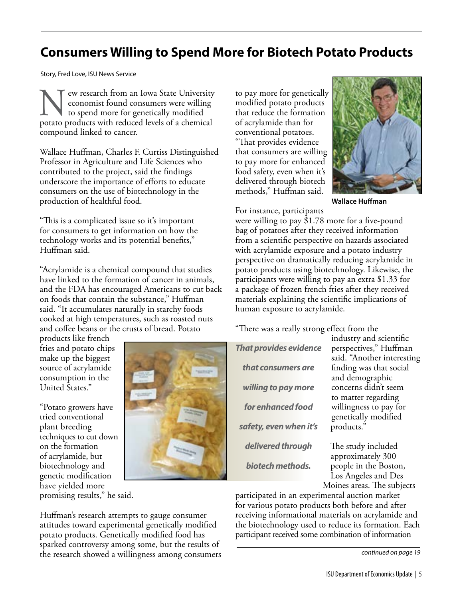## **Consumers Willing to Spend More for Biotech Potato Products**

Story, Fred Love, ISU News Service

ew research from an Iowa State University economist found consumers were willing to spend more for genetically modified potato products with reduced levels of a chemical compound linked to cancer.

Wallace Huffman, Charles F. Curtiss Distinguished Professor in Agriculture and Life Sciences who contributed to the project, said the findings underscore the importance of efforts to educate consumers on the use of biotechnology in the production of healthful food.

"This is a complicated issue so it's important for consumers to get information on how the technology works and its potential benefits," Huffman said.

"Acrylamide is a chemical compound that studies have linked to the formation of cancer in animals, and the FDA has encouraged Americans to cut back on foods that contain the substance," Huffman said. "It accumulates naturally in starchy foods cooked at high temperatures, such as roasted nuts and coffee beans or the crusts of bread. Potato

products like french fries and potato chips make up the biggest source of acrylamide consumption in the United States."

"Potato growers have tried conventional plant breeding techniques to cut down on the formation of acrylamide, but biotechnology and genetic modification have yielded more promising results," he said.



Huffman's research attempts to gauge consumer attitudes toward experimental genetically modified potato products. Genetically modified food has sparked controversy among some, but the results of the research showed a willingness among consumers to pay more for genetically modified potato products that reduce the formation of acrylamide than for conventional potatoes. "That provides evidence that consumers are willing to pay more for enhanced food safety, even when it's delivered through biotech methods," Huffman said.



**Wallace Huffman**

For instance, participants

were willing to pay \$1.78 more for a five-pound bag of potatoes after they received information from a scientific perspective on hazards associated with acrylamide exposure and a potato industry perspective on dramatically reducing acrylamide in potato products using biotechnology. Likewise, the participants were willing to pay an extra \$1.33 for a package of frozen french fries after they received materials explaining the scientific implications of human exposure to acrylamide.

"There was a really strong effect from the

| <b>That provides evidence</b> |
|-------------------------------|
| that consumers are            |
| willing to pay more           |
| for enhanced food             |
| safety, even when it's        |
| delivered through             |
| biotech methods.              |

industry and scientific perspectives," Huffman said. "Another interesting finding was that social and demographic concerns didn't seem to matter regarding willingness to pay for genetically modified products."

The study included approximately 300 people in the Boston, Los Angeles and Des Moines areas. The subjects

participated in an experimental auction market for various potato products both before and after receiving informational materials on acrylamide and the biotechnology used to reduce its formation. Each participant received some combination of information

*continued on page 19*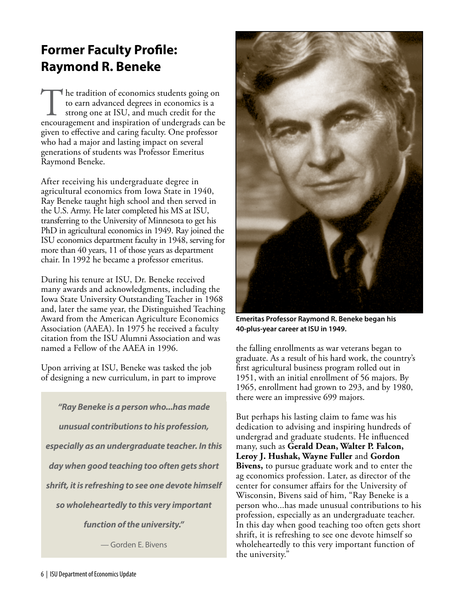# **Former Faculty Profile: Raymond R. Beneke**

The tradition of economics students going on<br>to earn advanced degrees in economics is a<br>strong one at ISU, and much credit for the<br>encouragement and inspiration of undergrads can be to earn advanced degrees in economics is a strong one at ISU, and much credit for the given to effective and caring faculty. One professor who had a major and lasting impact on several generations of students was Professor Emeritus Raymond Beneke.

After receiving his undergraduate degree in agricultural economics from Iowa State in 1940, Ray Beneke taught high school and then served in the U.S. Army. He later completed his MS at ISU, transferring to the University of Minnesota to get his PhD in agricultural economics in 1949. Ray joined the ISU economics department faculty in 1948, serving for more than 40 years, 11 of those years as department chair. In 1992 he became a professor emeritus.

During his tenure at ISU, Dr. Beneke received many awards and acknowledgments, including the Iowa State University Outstanding Teacher in 1968 and, later the same year, the Distinguished Teaching Award from the American Agriculture Economics Association (AAEA). In 1975 he received a faculty citation from the ISU Alumni Association and was named a Fellow of the AAEA in 1996.

Upon arriving at ISU, Beneke was tasked the job of designing a new curriculum, in part to improve

*"Ray Beneke is a person who...has made unusual contributions to his profession, especially as an undergraduate teacher. In this day when good teaching too often gets short shrift, it is refreshing to see one devote himself so wholeheartedly to this very important function of the university."*

— Gorden E. Bivens



**Emeritas Professor Raymond R. Beneke began his 40-plus-year career at ISU in 1949.** 

the falling enrollments as war veterans began to graduate. As a result of his hard work, the country's first agricultural business program rolled out in 1951, with an initial enrollment of 56 majors. By 1965, enrollment had grown to 293, and by 1980, there were an impressive 699 majors.

But perhaps his lasting claim to fame was his dedication to advising and inspiring hundreds of undergrad and graduate students. He influenced many, such as **Gerald Dean, Walter P. Falcon, Leroy J. Hushak, Wayne Fuller** and **Gordon Bivens,** to pursue graduate work and to enter the ag economics profession. Later, as director of the center for consumer affairs for the University of Wisconsin, Bivens said of him, "Ray Beneke is a person who...has made unusual contributions to his profession, especially as an undergraduate teacher. In this day when good teaching too often gets short shrift, it is refreshing to see one devote himself so wholeheartedly to this very important function of the university."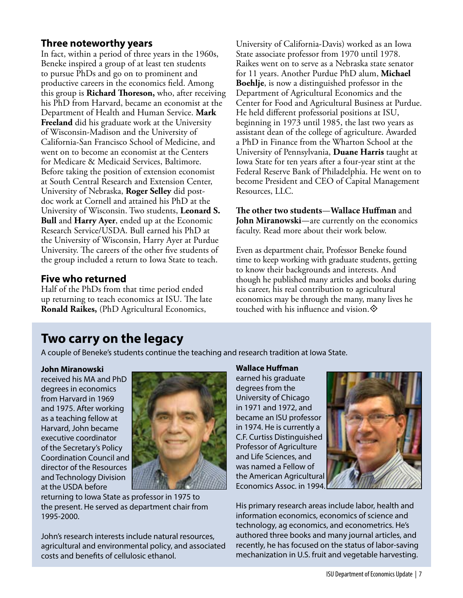#### **Three noteworthy years**

In fact, within a period of three years in the 1960s, Beneke inspired a group of at least ten students to pursue PhDs and go on to prominent and productive careers in the economics field. Among this group is **Richard Thoreson,** who, after receiving his PhD from Harvard, became an economist at the Department of Health and Human Service. **Mark Freeland** did his graduate work at the University of Wisconsin-Madison and the University of California-San Francisco School of Medicine, and went on to become an economist at the Centers for Medicare & Medicaid Services, Baltimore. Before taking the position of extension economist at South Central Research and Extension Center, University of Nebraska, **Roger Selley** did postdoc work at Cornell and attained his PhD at the University of Wisconsin. Two students, **Leonard S. Bull** and **Harry Ayer**, ended up at the Economic Research Service/USDA. Bull earned his PhD at the University of Wisconsin, Harry Ayer at Purdue University. The careers of the other five students of the group included a return to Iowa State to teach.

### **Five who returned**

Half of the PhDs from that time period ended up returning to teach economics at ISU. The late **Ronald Raikes,** (PhD Agricultural Economics,

University of California-Davis) worked as an Iowa State associate professor from 1970 until 1978. Raikes went on to serve as a Nebraska state senator for 11 years. Another Purdue PhD alum, **Michael Boehlje**, is now a distinguished professor in the Department of Agricultural Economics and the Center for Food and Agricultural Business at Purdue. He held different professorial positions at ISU, beginning in 1973 until 1985, the last two years as assistant dean of the college of agriculture. Awarded a PhD in Finance from the Wharton School at the University of Pennsylvania, **Duane Harris** taught at Iowa State for ten years after a four-year stint at the Federal Reserve Bank of Philadelphia. He went on to become President and CEO of Capital Management Resources, LLC.

#### **The other two students**—**Wallace Huffman** and **John Miranowski**—are currently on the economics faculty. Read more about their work below.

Even as department chair, Professor Beneke found time to keep working with graduate students, getting to know their backgrounds and interests. And though he published many articles and books during his career, his real contribution to agricultural economics may be through the many, many lives he touched with his influence and vision.  $\diamondsuit$ 

## **Two carry on the legacy**

A couple of Beneke's students continue the teaching and research tradition at Iowa State.

#### **John Miranowski**

received his MA and PhD degrees in economics from Harvard in 1969 and 1975. After working as a teaching fellow at Harvard, John became executive coordinator of the Secretary's Policy Coordination Council and director of the Resources and Technology Division at the USDA before



returning to Iowa State as professor in 1975 to the present. He served as department chair from 1995-2000.

John's research interests include natural resources, agricultural and environmental policy, and associated costs and benefits of cellulosic ethanol.

#### **Wallace Huffman**

earned his graduate degrees from the University of Chicago in 1971 and 1972, and became an ISU professor in 1974. He is currently a C.F. Curtiss Distinguished Professor of Agriculture and Life Sciences, and was named a Fellow of the American Agricultural Economics Assoc. in 1994.



His primary research areas include labor, health and information economics, economics of science and technology, ag economics, and econometrics. He's authored three books and many journal articles, and recently, he has focused on the status of labor-saving mechanization in U.S. fruit and vegetable harvesting.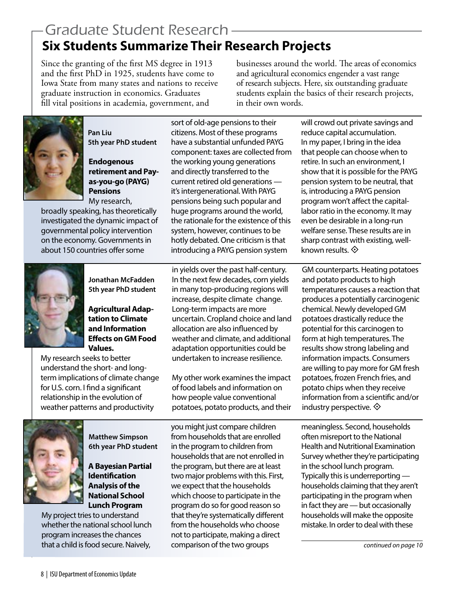# Graduate Student Research **Six Students Summarize Their Research Projects**

Since the granting of the first MS degree in 1913 and the first PhD in 1925, students have come to Iowa State from many states and nations to receive graduate instruction in economics. Graduates fill vital positions in academia, government, and

businesses around the world. The areas of economics and agricultural economics engender a vast range of research subjects. Here, six outstanding graduate students explain the basics of their research projects, in their own words.



**Pan Liu 5th year PhD student**

**Endogenous retirement and Payas-you-go (PAYG) Pensions** My research,

broadly speaking, has theoretically investigated the dynamic impact of governmental policy intervention on the economy. Governments in about 150 countries offer some

sort of old-age pensions to their citizens. Most of these programs have a substantial unfunded PAYG component: taxes are collected from the working young generations and directly transferred to the current retired old generations it's intergenerational. With PAYG pensions being such popular and huge programs around the world, the rationale for the existence of this system, however, continues to be hotly debated. One criticism is that introducing a PAYG pension system

**Jonathan McFadden 5th year PhD student**

**Agricultural Adaptation to Climate and Information Effects on GM Food Values.**

My research seeks to better understand the short- and longterm implications of climate change for U.S. corn. I find a significant relationship in the evolution of weather patterns and productivity

in yields over the past half-century. In the next few decades, corn yields in many top-producing regions will increase, despite climate change. Long-term impacts are more uncertain. Cropland choice and land allocation are also influenced by weather and climate, and additional adaptation opportunities could be undertaken to increase resilience.

My other work examines the impact of food labels and information on how people value conventional potatoes, potato products, and their



**Matthew Simpson 6th year PhD student**

**A Bayesian Partial Identification Analysis of the National School Lunch Program**

My project tries to understand whether the national school lunch program increases the chances that a child is food secure. Naively,

you might just compare children from households that are enrolled in the program to children from households that are not enrolled in the program, but there are at least two major problems with this. First, we expect that the households which choose to participate in the program do so for good reason so that they're systematically different from the households who choose not to participate, making a direct comparison of the two groups

will crowd out private savings and reduce capital accumulation. In my paper, I bring in the idea that people can choose when to retire. In such an environment, I show that it is possible for the PAYG pension system to be neutral, that is, introducing a PAYG pension program won't affect the capitallabor ratio in the economy. It may even be desirable in a long-run welfare sense. These results are in sharp contrast with existing, wellknown results.  $\diamondsuit$ 

GM counterparts. Heating potatoes and potato products to high temperatures causes a reaction that produces a potentially carcinogenic chemical. Newly developed GM potatoes drastically reduce the potential for this carcinogen to form at high temperatures. The results show strong labeling and information impacts. Consumers are willing to pay more for GM fresh potatoes, frozen French fries, and potato chips when they receive information from a scientific and/or industry perspective.  $\diamondsuit$ 

meaningless. Second, households often misreport to the National Health and Nutritional Examination Survey whether they're participating in the school lunch program. Typically this is underreporting households claiming that they aren't participating in the program when in fact they are — but occasionally households will make the opposite mistake. In order to deal with these

*continued on page 10*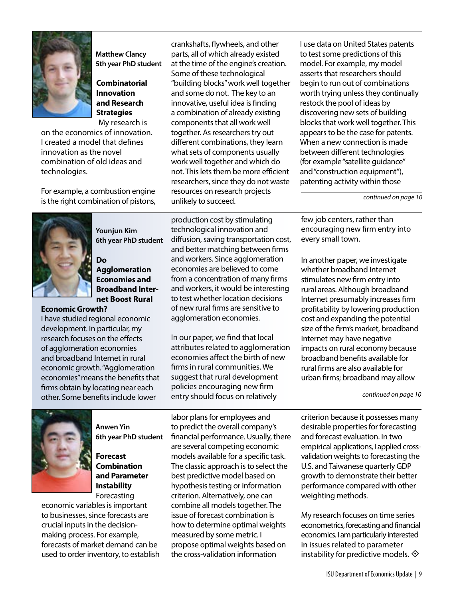

**Matthew Clancy 5th year PhD student**

#### **Combinatorial Innovation and Research Strategies** My research is

on the economics of innovation. I created a model that defines innovation as the novel combination of old ideas and technologies.

For example, a combustion engine is the right combination of pistons,

crankshafts, flywheels, and other parts, all of which already existed at the time of the engine's creation. Some of these technological "building blocks" work well together and some do not. The key to an innovative, useful idea is finding a combination of already existing components that all work well together. As researchers try out different combinations, they learn what sets of components usually work well together and which do not. This lets them be more efficient researchers, since they do not waste resources on research projects unlikely to succeed.

I use data on United States patents to test some predictions of this model. For example, my model asserts that researchers should begin to run out of combinations worth trying unless they continually restock the pool of ideas by discovering new sets of building blocks that work well together. This appears to be the case for patents. When a new connection is made between different technologies (for example "satellite guidance" and "construction equipment"), patenting activity within those

*continued on page 10*



**Younjun Kim 6th year PhD student**

**Do Agglomeration Economies and Broadband Internet Boost Rural** 

#### **Economic Growth?**

I have studied regional economic development. In particular, my research focuses on the effects of agglomeration economies and broadband Internet in rural economic growth. "Agglomeration economies" means the benefits that firms obtain by locating near each other. Some benefits include lower

production cost by stimulating technological innovation and diffusion, saving transportation cost, and better matching between firms and workers. Since agglomeration economies are believed to come from a concentration of many firms and workers, it would be interesting to test whether location decisions of new rural firms are sensitive to agglomeration economies.

In our paper, we find that local attributes related to agglomeration economies affect the birth of new firms in rural communities. We suggest that rural development policies encouraging new firm entry should focus on relatively

few job centers, rather than encouraging new firm entry into every small town.

In another paper, we investigate whether broadband Internet stimulates new firm entry into rural areas. Although broadband Internet presumably increases firm profitability by lowering production cost and expanding the potential size of the firm's market, broadband Internet may have negative impacts on rural economy because broadband benefits available for rural firms are also available for urban firms; broadband may allow

*continued on page 10*



**Anwen Yin 6th year PhD student**

**Forecast Combination and Parameter Instability**  Forecasting

economic variables is important to businesses, since forecasts are crucial inputs in the decisionmaking process. For example, forecasts of market demand can be used to order inventory, to establish

labor plans for employees and to predict the overall company's financial performance. Usually, there are several competing economic models available for a specific task. The classic approach is to select the best predictive model based on hypothesis testing or information criterion. Alternatively, one can combine all models together. The issue of forecast combination is how to determine optimal weights measured by some metric. I propose optimal weights based on the cross-validation information

criterion because it possesses many desirable properties for forecasting and forecast evaluation. In two empirical applications, I applied crossvalidation weights to forecasting the U.S. and Taiwanese quarterly GDP growth to demonstrate their better performance compared with other weighting methods.

My research focuses on time series econometrics, forecasting and financial economics. I am particularly interested in issues related to parameter instability for predictive models.  $\diamondsuit$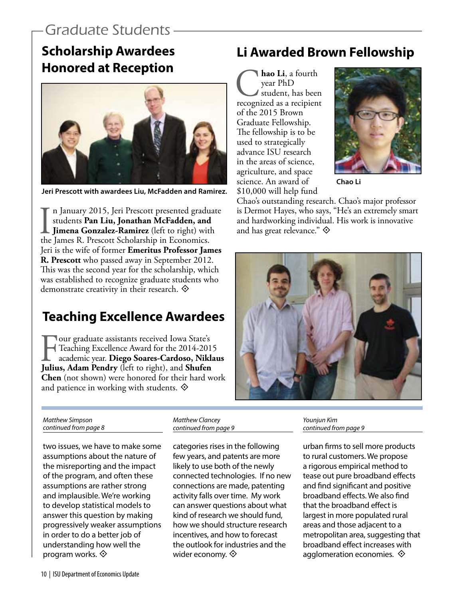## Graduate Students

## **Scholarship Awardees Honored at Reception**



**Jeri Prescott with awardees Liu, McFadden and Ramirez.**

In January 2015, Jeri Prescott presented gradustudents **Pan Liu, Jonathan McFadden, and Jimena Gonzalez-Ramirez** (left to right) with the James R. Prescott Scholarship in Economics. n January 2015, Jeri Prescott presented graduate students **Pan Liu, Jonathan McFadden, and Jimena Gonzalez-Ramirez** (left to right) with Jeri is the wife of former **Emeritus Professor James R. Prescott** who passed away in September 2012. This was the second year for the scholarship, which was established to recognize graduate students who demonstrate creativity in their research.  $\diamondsuit$ 

### **Teaching Excellence Awardees**

**Four graduate assistants received Iowa State's**<br>Teaching Excellence Award for the 2014-201<br>academic year. **Diego Soares-Cardoso, Nikl**<br>Julius, Adam Pendry (left to right), and **Shufen** Teaching Excellence Award for the 2014-2015 academic year. **Diego Soares-Cardoso, Niklaus Julius, Adam Pendry** (left to right), and **Shufen Chen** (not shown) were honored for their hard work and patience in working with students.  $\diamondsuit$ 

### **Li Awarded Brown Fellowship**

**C**<br> **hao Li**, a fourth<br>
student, has been<br>
recognized as a recipient year PhD student, has been of the 2015 Brown Graduate Fellowship. The fellowship is to be used to strategically advance ISU research in the areas of science, agriculture, and space science. An award of \$10,000 will help fund



**Chao Li**

Chao's outstanding research. Chao's major professor is Dermot Hayes, who says, "He's an extremely smart and hardworking individual. His work is innovative and has great relevance."  $\diamondsuit$ 



*Matthew Simpson continued from page 8*

categories rises in the following two issues, we have to make some assumptions about the nature of the misreporting and the impact of the program, and often these assumptions are rather strong

few years, and patents are more likely to use both of the newly connected technologies. If no new connections are made, patenting activity falls over time. My work can answer questions about what kind of research we should fund, how we should structure research incentives, and how to forecast the outlook for industries and the wider economy.  $\diamondsuit$ 

*Matthew Clancey continued from page 9*

*Younjun Kim continued from page 9*

urban firms to sell more products to rural customers. We propose a rigorous empirical method to tease out pure broadband effects and find significant and positive broadband effects. We also find that the broadband effect is largest in more populated rural areas and those adjacent to a metropolitan area, suggesting that broadband effect increases with agglomeration economies.  $\diamondsuit$ 

program works.  $\diamondsuit$ 

and implausible. We're working to develop statistical models to answer this question by making progressively weaker assumptions in order to do a better job of understanding how well the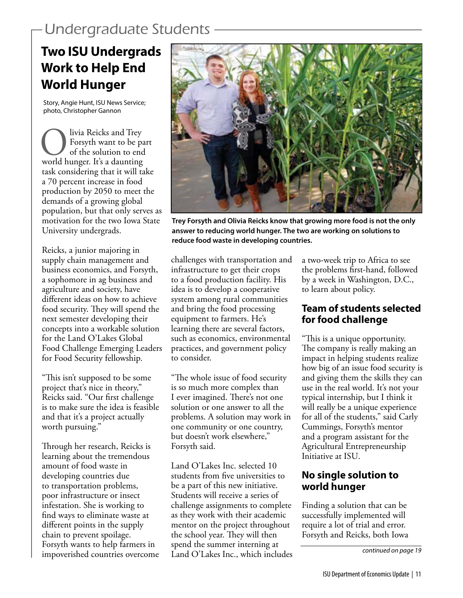# Undergraduate Students

# **Two ISU Undergrads Work to Help End World Hunger**

Story, Angie Hunt, ISU News Service; photo, Christopher Gannon

Olivia Reicks and Trey world hunger. It's a daunting Forsyth want to be part of the solution to end task considering that it will take a 70 percent increase in food production by 2050 to meet the demands of a growing global population, but that only serves as motivation for the two Iowa State University undergrads.

Reicks, a junior majoring in supply chain management and business economics, and Forsyth, a sophomore in ag business and agriculture and society, have different ideas on how to achieve food security. They will spend the next semester developing their concepts into a workable solution for the Land O'Lakes Global Food Challenge Emerging Leaders for Food Security fellowship.

"This isn't supposed to be some project that's nice in theory," Reicks said. "Our first challenge is to make sure the idea is feasible and that it's a project actually worth pursuing."

Through her research, Reicks is learning about the tremendous amount of food waste in developing countries due to transportation problems, poor infrastructure or insect infestation. She is working to find ways to eliminate waste at different points in the supply chain to prevent spoilage. Forsyth wants to help farmers in impoverished countries overcome



**Trey Forsyth and Olivia Reicks know that growing more food is not the only answer to reducing world hunger. The two are working on solutions to reduce food waste in developing countries.**

challenges with transportation and infrastructure to get their crops to a food production facility. His idea is to develop a cooperative system among rural communities and bring the food processing equipment to farmers. He's learning there are several factors, such as economics, environmental practices, and government policy to consider.

"The whole issue of food security is so much more complex than I ever imagined. There's not one solution or one answer to all the problems. A solution may work in one community or one country, but doesn't work elsewhere," Forsyth said.

Land O'Lakes Inc. selected 10 students from five universities to be a part of this new initiative. Students will receive a series of challenge assignments to complete as they work with their academic mentor on the project throughout the school year. They will then spend the summer interning at Land O'Lakes Inc., which includes

a two-week trip to Africa to see the problems first-hand, followed by a week in Washington, D.C., to learn about policy.

### **Team of students selected for food challenge**

"This is a unique opportunity. The company is really making an impact in helping students realize how big of an issue food security is and giving them the skills they can use in the real world. It's not your typical internship, but I think it will really be a unique experience for all of the students," said Carly Cummings, Forsyth's mentor and a program assistant for the Agricultural Entrepreneurship Initiative at ISU.

#### **No single solution to world hunger**

Finding a solution that can be successfully implemented will require a lot of trial and error. Forsyth and Reicks, both Iowa

*continued on page 19*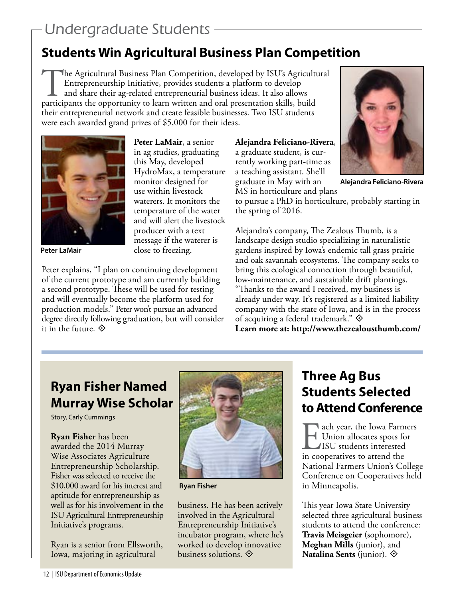# Undergraduate Students

## **Students Win Agricultural Business Plan Competition**

The Agricultural Business Plan Competition, developed by ISU's Agricultural Entrepreneurship Initiative, provides students a platform to develop and share their ag-related entrepreneurial business ideas. It also allows participants the opportunity to learn written and oral presentation skills, build their entrepreneurial network and create feasible businesses. Two ISU students were each awarded grand prizes of \$5,000 for their ideas.



**Peter LaMair**

**Peter LaMair**, a senior in ag studies, graduating this May, developed HydroMax, a temperature monitor designed for use within livestock waterers. It monitors the temperature of the water and will alert the livestock producer with a text message if the waterer is close to freezing.

Peter explains, "I plan on continuing development of the current prototype and am currently building a second prototype. These will be used for testing and will eventually become the platform used for production models." Peter won't pursue an advanced degree directly following graduation, but will consider it in the future.  $\diamondsuit$ 

**Alejandra Feliciano-Rivera**, a graduate student, is currently working part-time as a teaching assistant. She'll graduate in May with an



**Alejandra Feliciano-Rivera**

MS in horticulture and plans to pursue a PhD in horticulture, probably starting in the spring of 2016.

Alejandra's company, The Zealous Thumb, is a landscape design studio specializing in naturalistic gardens inspired by Iowa's endemic tall grass prairie and oak savannah ecosystems. The company seeks to bring this ecological connection through beautiful, low-maintenance, and sustainable drift plantings. "Thanks to the award I received, my business is already under way. It's registered as a limited liability company with the state of Iowa, and is in the process of acquiring a federal trademark."  $\diamondsuit$ 

**Learn more at: http://www.thezealousthumb.com/**

## **Ryan Fisher Named Murray Wise Scholar**

Story, Carly Cummings

**Ryan Fisher** has been awarded the 2014 Murray Wise Associates Agriculture Entrepreneurship Scholarship. Fisher was selected to receive the \$10,000 award for his interest and aptitude for entrepreneurship as well as for his involvement in the ISU Agricultural Entrepreneurship Initiative's programs.

Ryan is a senior from Ellsworth, Iowa, majoring in agricultural



**Ryan Fisher**

business. He has been actively involved in the Agricultural Entrepreneurship Initiative's incubator program, where he's worked to develop innovative business solutions.  $\diamondsuit$ 

## **Three Ag Bus Students Selected to Attend Conference**

Lach year, the Iowa Farmers Union allocates spots for ISU students interested in cooperatives to attend the National Farmers Union's College Conference on Cooperatives held in Minneapolis.

This year Iowa State University selected three agricultural business students to attend the conference: **Travis Meisgeier** (sophomore), **Meghan Mills** (junior), and **Natalina Sents** (junior). °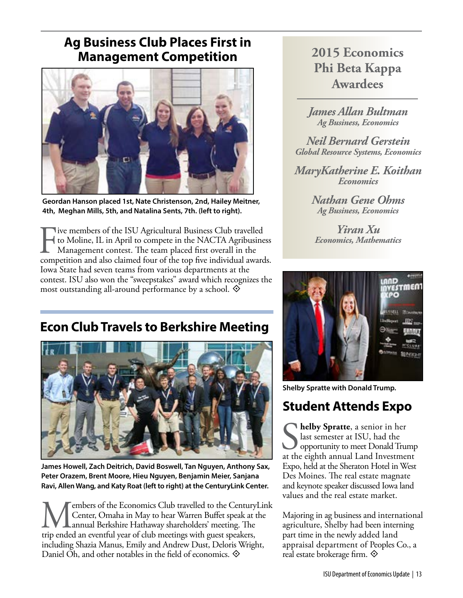### **Ag Business Club Places First in Management Competition**



**Geordan Hanson placed 1st, Nate Christenson, 2nd, Hailey Meitner, 4th, Meghan Mills, 5th, and Natalina Sents, 7th. (left to right).** 

Five members of the ISU Agricultural Business Club travelled<br>to Moline, IL in April to compete in the NACTA Agribusine<br>Management contest. The team placed first overall in the<br>competition and also claimed four of the top f to Moline, IL in April to compete in the NACTA Agribusiness Management contest. The team placed first overall in the competition and also claimed four of the top five individual awards. Iowa State had seven teams from various departments at the contest. ISU also won the "sweepstakes" award which recognizes the most outstanding all-around performance by a school.  $\diamondsuit$ 

## **Econ Club Travels to Berkshire Meeting**



**James Howell, Zach Deitrich, David Boswell, Tan Nguyen, Anthony Sax, Peter Orazem, Brent Moore, Hieu Nguyen, Benjamin Meier, Sanjana Ravi, Allen Wang, and Katy Roat (left to right) at the CenturyLink Center.** 

Members of the Economics Club travelled to the CenturyLink<br>Center, Omaha in May to hear Warren Buffet speak at the<br>trip ended an eventful vear of club meetings with guest speakers. Center, Omaha in May to hear Warren Buffet speak at the annual Berkshire Hathaway shareholders' meeting. The trip ended an eventful year of club meetings with guest speakers, including Shazia Manus, Emily and Andrew Dust, Deloris Wright, Daniel Oh, and other notables in the field of economics.  $\diamondsuit$ 

## **2015 Economics Phi Beta Kappa Awardees**

*James Allan Bultman Ag Business, Economics*

*Neil Bernard Gerstein Global Resource Systems, Economics*

*MaryKatherine E. Koithan Economics*

> *Nathan Gene Ohms Ag Business, Economics*

*Yiran Xu Economics, Mathematics*



**Shelby Spratte with Donald Trump.**

## **Student Attends Expo**

Solution A senior in her Sature at ISU, had the opportunity to meet Donald Trump at the eighth annual Land Investment **helby Spratte**, a senior in her last semester at ISU, had the opportunity to meet Donald Trump Expo, held at the Sheraton Hotel in West Des Moines. The real estate magnate and keynote speaker discussed Iowa land values and the real estate market.

Majoring in ag business and international agriculture, Shelby had been interning part time in the newly added land appraisal department of Peoples Co., a real estate brokerage firm.  $\diamondsuit$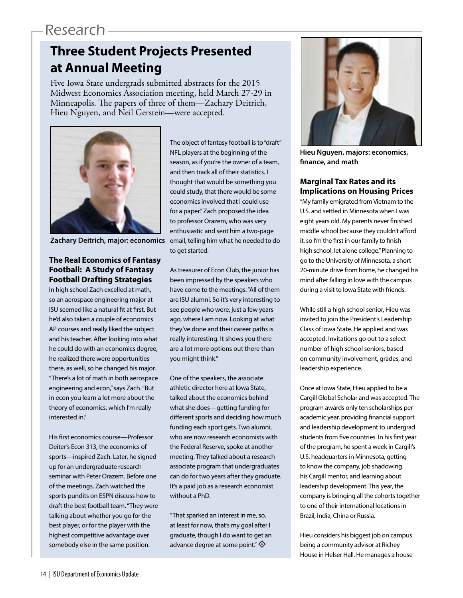## Research

# **Three Student Projects Presented at Annual Meeting**

Five Iowa State undergrads submitted abstracts for the 2015 Midwest Economics Association meeting, held March 27-29 in Minneapolis. The papers of three of them—Zachary Deitrich, Hieu Nguyen, and Neil Gerstein—were accepted.



**Zachary Deitrich, major: economics**

#### **The Real Economics of Fantasy Football: A Study of Fantasy Football Drafting Strategies**

In high school Zach excelled at math, so an aerospace engineering major at ISU seemed like a natural fit at first. But he'd also taken a couple of economics AP courses and really liked the subject and his teacher. After looking into what he could do with an economics degree, he realized there were opportunities there, as well, so he changed his major. "There's a lot of math in both aerospace engineering and econ," says Zach. "But in econ you learn a lot more about the theory of economics, which I'm really interested in."

His first economics course—Professor Deiter's Econ 313, the economics of sports—inspired Zach. Later, he signed up for an undergraduate research seminar with Peter Orazem. Before one of the meetings, Zach watched the sports pundits on ESPN discuss how to draft the best football team. "They were talking about whether you go for the best player, or for the player with the highest competitive advantage over somebody else in the same position.

The object of fantasy football is to "draft" NFL players at the beginning of the season, as if you're the owner of a team, and then track all of their statistics. I thought that would be something you could study, that there would be some economics involved that I could use for a paper." Zach proposed the idea to professor Orazem, who was very enthusiastic and sent him a two-page email, telling him what he needed to do to get started.

As treasurer of Econ Club, the junior has been impressed by the speakers who have come to the meetings. "All of them are ISU alumni. So it's very interesting to see people who were, just a few years ago, where I am now. Looking at what they've done and their career paths is really interesting. It shows you there are a lot more options out there than you might think."

One of the speakers, the associate athletic director here at Iowa State, talked about the economics behind what she does—getting funding for different sports and deciding how much funding each sport gets. Two alumni, who are now research economists with the Federal Reserve, spoke at another meeting. They talked about a research associate program that undergraduates can do for two years after they graduate. It's a paid job as a research economist without a PhD.

"That sparked an interest in me, so, at least for now, that's my goal after I graduate, though I do want to get an advance degree at some point."  $\diamondsuit$ 



**Hieu Nguyen, majors: economics, finance, and math**

#### **Marginal Tax Rates and its Implications on Housing Prices**

"My family emigrated from Vietnam to the U.S. and settled in Minnesota when I was eight years old. My parents never finished middle school because they couldn't afford it, so I'm the first in our family to finish high school, let alone college." Planning to go to the University of Minnesota, a short 20-minute drive from home, he changed his mind after falling in love with the campus during a visit to Iowa State with friends.

While still a high school senior, Hieu was invited to join the President's Leadership Class of Iowa State. He applied and was accepted. Invitations go out to a select number of high school seniors, based on community involvement, grades, and leadership experience.

Once at Iowa State, Hieu applied to be a Cargill Global Scholar and was accepted. The program awards only ten scholarships per academic year, providing financial support and leadership development to undergrad students from five countries. In his first year of the program, he spent a week in Cargill's U.S. headquarters in Minnesota, getting to know the company, job shadowing his Cargill mentor, and learning about leadership development. This year, the company is bringing all the cohorts together to one of their international locations in Brazil, India, China or Russia.

Hieu considers his biggest job on campus being a community advisor at Richey House in Helser Hall. He manages a house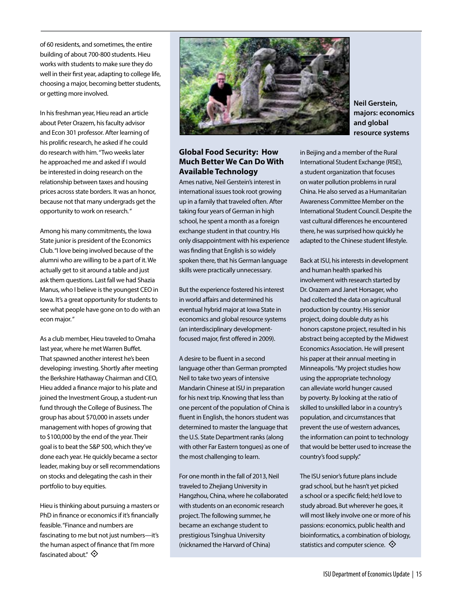of 60 residents, and sometimes, the entire building of about 700-800 students. Hieu works with students to make sure they do well in their first year, adapting to college life, choosing a major, becoming better students, or getting more involved.

In his freshman year, Hieu read an article about Peter Orazem, his faculty advisor and Econ 301 professor. After learning of his prolific research, he asked if he could do research with him. "Two weeks later he approached me and asked if I would be interested in doing research on the relationship between taxes and housing prices across state borders. It was an honor, because not that many undergrads get the opportunity to work on research. "

Among his many commitments, the Iowa State junior is president of the Economics Club. "I love being involved because of the alumni who are willing to be a part of it. We actually get to sit around a table and just ask them questions. Last fall we had Shazia Manus, who I believe is the youngest CEO in Iowa. It's a great opportunity for students to see what people have gone on to do with an econ major. "

As a club member, Hieu traveled to Omaha last year, where he met Warren Buffet. That spawned another interest he's been developing: investing. Shortly after meeting the Berkshire Hathaway Chairman and CEO, Hieu added a finance major to his plate and joined the Investment Group, a student-run fund through the College of Business. The group has about \$70,000 in assets under management with hopes of growing that to \$100,000 by the end of the year. Their goal is to beat the S&P 500, which they've done each year. He quickly became a sector leader, making buy or sell recommendations on stocks and delegating the cash in their portfolio to buy equities.

Hieu is thinking about pursuing a masters or PhD in finance or economics if it's financially feasible. "Finance and numbers are fascinating to me but not just numbers—it's the human aspect of finance that I'm more fascinated about."  $\diamondsuit$ 



#### **Global Food Security: How Much Better We Can Do With Available Technology**

Ames native, Neil Gerstein's interest in international issues took root growing up in a family that traveled often. After taking four years of German in high school, he spent a month as a foreign exchange student in that country. His only disappointment with his experience was finding that English is so widely spoken there, that his German language skills were practically unnecessary.

But the experience fostered his interest in world affairs and determined his eventual hybrid major at Iowa State in economics and global resource systems (an interdisciplinary developmentfocused major, first offered in 2009).

A desire to be fluent in a second language other than German prompted Neil to take two years of intensive Mandarin Chinese at ISU in preparation for his next trip. Knowing that less than one percent of the population of China is fluent in English, the honors student was determined to master the language that the U.S. State Department ranks (along with other Far Eastern tongues) as one of the most challenging to learn.

For one month in the fall of 2013, Neil traveled to Zhejiang University in Hangzhou, China, where he collaborated with students on an economic research project. The following summer, he became an exchange student to prestigious Tsinghua University (nicknamed the Harvard of China)

**Neil Gerstein, majors: economics and global resource systems** 

in Beijing and a member of the Rural International Student Exchange (RISE), a student organization that focuses on water pollution problems in rural China. He also served as a Humanitarian Awareness Committee Member on the International Student Council. Despite the vast cultural differences he encountered there, he was surprised how quickly he adapted to the Chinese student lifestyle.

Back at ISU, his interests in development and human health sparked his involvement with research started by Dr. Orazem and Janet Horsager, who had collected the data on agricultural production by country. His senior project, doing double duty as his honors capstone project, resulted in his abstract being accepted by the Midwest Economics Association. He will present his paper at their annual meeting in Minneapolis. "My project studies how using the appropriate technology can alleviate world hunger caused by poverty. By looking at the ratio of skilled to unskilled labor in a country's population, and circumstances that prevent the use of western advances, the information can point to technology that would be better used to increase the country's food supply."

The ISU senior's future plans include grad school, but he hasn't yet picked a school or a specific field; he'd love to study abroad. But wherever he goes, it will most likely involve one or more of his passions: economics, public health and bioinformatics, a combination of biology, statistics and computer science.  $\diamondsuit$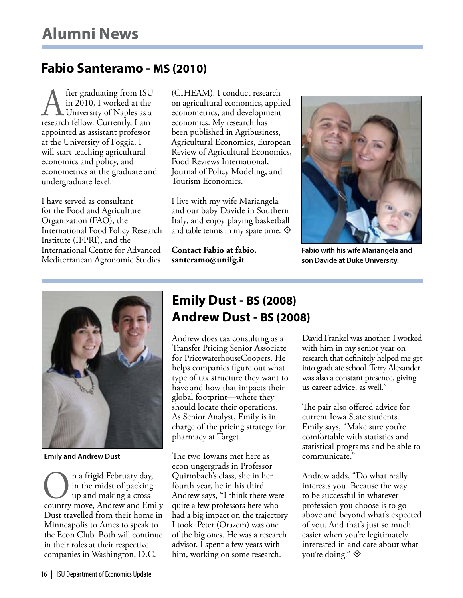### **Fabio Santeramo - MS (2010)**

fter graduating from ISU<br>in 2010, I worked at the<br>University of Naples as a<br>research fellow. Currently. I am in 2010, I worked at the University of Naples as a research fellow. Currently, I am appointed as assistant professor at the University of Foggia. I will start teaching agricultural economics and policy, and econometrics at the graduate and undergraduate level.

I have served as consultant for the Food and Agriculture Organization (FAO), the International Food Policy Research Institute (IFPRI), and the International Centre for Advanced Mediterranean Agronomic Studies

(CIHEAM). I conduct research on agricultural economics, applied econometrics, and development economics. My research has been published in Agribusiness, Agricultural Economics, European Review of Agricultural Economics, Food Reviews International, Journal of Policy Modeling, and Tourism Economics.

I live with my wife Mariangela and our baby Davide in Southern Italy, and enjoy playing basketball and table tennis in my spare time.  $\diamondsuit$ 

**Contact Fabio at fabio. santeramo@unifg.it** 



**Fabio with his wife Mariangela and son Davide at Duke University.**



**Emily and Andrew Dust**

On a frigid February day, country move, Andrew and Emily in the midst of packing up and making a cross-Dust travelled from their home in Minneapolis to Ames to speak to the Econ Club. Both will continue in their roles at their respective companies in Washington, D.C.

## **Emily Dust - BS (2008) Andrew Dust - BS (2008)**

Andrew does tax consulting as a Transfer Pricing Senior Associate for PricewaterhouseCoopers. He helps companies figure out what type of tax structure they want to have and how that impacts their global footprint—where they should locate their operations. As Senior Analyst, Emily is in charge of the pricing strategy for pharmacy at Target.

The two Iowans met here as econ ungergrads in Professor Quirmbach's class, she in her fourth year, he in his third. Andrew says, "I think there were quite a few professors here who had a big impact on the trajectory I took. Peter (Orazem) was one of the big ones. He was a research advisor. I spent a few years with him, working on some research.

David Frankel was another. I worked with him in my senior year on research that definitely helped me get into graduate school. Terry Alexander was also a constant presence, giving us career advice, as well."

The pair also offered advice for current Iowa State students. Emily says, "Make sure you're comfortable with statistics and statistical programs and be able to communicate."

Andrew adds, "Do what really interests you. Because the way to be successful in whatever profession you choose is to go above and beyond what's expected of you. And that's just so much easier when you're legitimately interested in and care about what you're doing."  $\diamondsuit$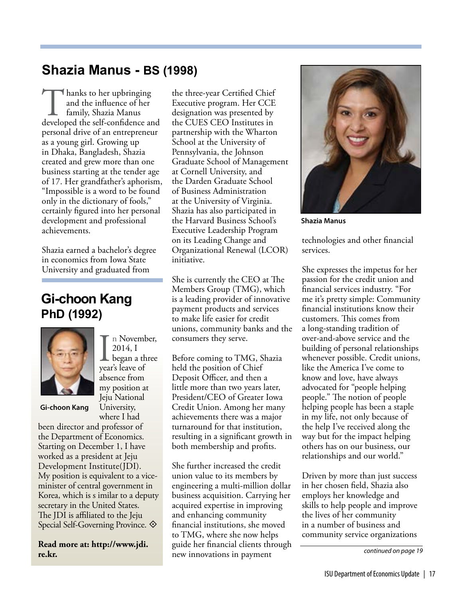### **Shazia Manus - BS (1998)**

Thanks to her upbringing<br>
and the influence of her<br>
family, Shazia Manus<br>
developed the self-confidence and and the influence of her family, Shazia Manus personal drive of an entrepreneur as a young girl. Growing up in Dhaka, Bangladesh, Shazia created and grew more than one business starting at the tender age of 17. Her grandfather's aphorism, "Impossible is a word to be found only in the dictionary of fools," certainly figured into her personal development and professional achievements.

Shazia earned a bachelor's degree in economics from Iowa State University and graduated from

## **Gi-choon Kang PhD (1992)**



In Novembre<br>
2014, I<br>
began a th<br>
year's leave of n November, 2014, I began a three absence from my position at Jeju National University, where I had

**Gi-choon Kang**

been director and professor of the Department of Economics. Starting on December 1, I have worked as a president at Jeju Development Institute(JDI). My position is equivalent to a viceminister of central government in Korea, which is s imilar to a deputy secretary in the United States. The JDI is affiliated to the Jeju Special Self-Governing Province.  $\diamondsuit$ 

**Read more at: http://www.jdi. re.kr.**

the three-year Certified Chief Executive program. Her CCE designation was presented by the CUES CEO Institutes in partnership with the Wharton School at the University of Pennsylvania, the Johnson Graduate School of Management at Cornell University, and the Darden Graduate School of Business Administration at the University of Virginia. Shazia has also participated in the Harvard Business School's Executive Leadership Program on its Leading Change and Organizational Renewal (LCOR) initiative.

She is currently the CEO at The Members Group (TMG), which is a leading provider of innovative payment products and services to make life easier for credit unions, community banks and the consumers they serve.

Before coming to TMG, Shazia held the position of Chief Deposit Officer, and then a little more than two years later, President/CEO of Greater Iowa Credit Union. Among her many achievements there was a major turnaround for that institution, resulting in a significant growth in both membership and profits.

She further increased the credit union value to its members by engineering a multi-million dollar business acquisition. Carrying her acquired expertise in improving and enhancing community financial institutions, she moved to TMG, where she now helps guide her financial clients through new innovations in payment



**Shazia Manus**

technologies and other financial services.

She expresses the impetus for her passion for the credit union and financial services industry. "For me it's pretty simple: Community financial institutions know their customers. This comes from a long-standing tradition of over-and-above service and the building of personal relationships whenever possible. Credit unions, like the America I've come to know and love, have always advocated for "people helping people." The notion of people helping people has been a staple in my life, not only because of the help I've received along the way but for the impact helping others has on our business, our relationships and our world."

Driven by more than just success in her chosen field, Shazia also employs her knowledge and skills to help people and improve the lives of her community in a number of business and community service organizations

*continued on page 19*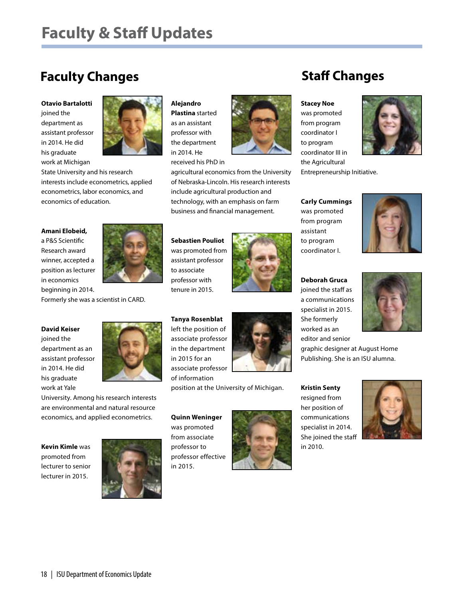# **Faculty & Staff Updates**

## **Faculty Changes**

#### **Otavio Bartalotti**

joined the department as assistant professor in 2014. He did his graduate work at Michigan



State University and his research interests include econometrics, applied econometrics, labor economics, and economics of education.

#### **Amani Elobeid,**

a P&S Scientific Research award winner, accepted a position as lecturer in economics beginning in 2014.



Formerly she was a scientist in CARD.

#### **David Keiser**

joined the department as an assistant professor in 2014. He did his graduate work at Yale



University. Among his research interests are environmental and natural resource economics, and applied econometrics.

**Kevin Kimle** was promoted from lecturer to senior lecturer in 2015.



#### **Alejandro**

**Plastina** started as an assistant professor with the department in 2014. He received his PhD in



agricultural economics from the University of Nebraska-Lincoln. His research interests include agricultural production and technology, with an emphasis on farm business and financial management.

**Sebastien Pouliot** was promoted from assistant professor to associate professor with tenure in 2015.



**Tanya Rosenblat**  left the position of associate professor in the department associate professor



position at the University of Michigan.

**Quinn Weninger** was promoted from associate professor to professor effective in 2015.





**Kristin Senty**  resigned from her position of communications specialist in 2014. She joined the staff in 2010.

## **Staff Changes**

#### **Stacey Noe**

was promoted from program coordinator I to program coordinator III in the Agricultural Entrepreneurship Initiative.

**Carly Cummings** was promoted from program assistant to program coordinator I.





a communications specialist in 2015. She formerly worked as an editor and senior

graphic designer at August Home Publishing. She is an ISU alumna.





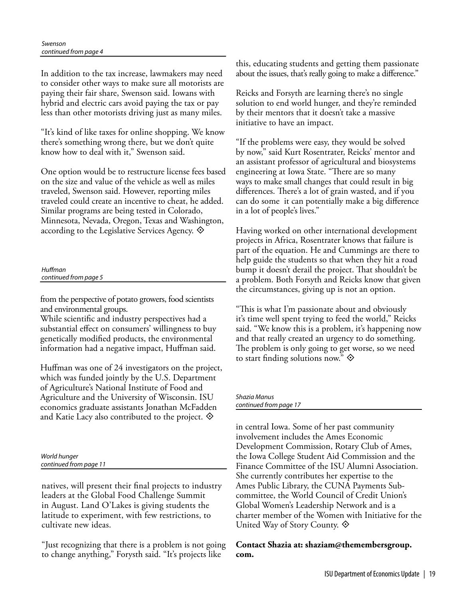In addition to the tax increase, lawmakers may need to consider other ways to make sure all motorists are paying their fair share, Swenson said. Iowans with hybrid and electric cars avoid paying the tax or pay less than other motorists driving just as many miles.

"It's kind of like taxes for online shopping. We know there's something wrong there, but we don't quite know how to deal with it," Swenson said.

One option would be to restructure license fees based on the size and value of the vehicle as well as miles traveled, Swenson said. However, reporting miles traveled could create an incentive to cheat, he added. Similar programs are being tested in Colorado, Minnesota, Nevada, Oregon, Texas and Washington, according to the Legislative Services Agency.  $\odot$ 

*Huffman continued from page 5*

from the perspective of potato growers, food scientists and environmental groups.

While scientific and industry perspectives had a substantial effect on consumers' willingness to buy genetically modified products, the environmental information had a negative impact, Huffman said.

Huffman was one of 24 investigators on the project, which was funded jointly by the U.S. Department of Agriculture's National Institute of Food and Agriculture and the University of Wisconsin. ISU economics graduate assistants Jonathan McFadden and Katie Lacy also contributed to the project.  $\odot$ 

*World hunger continued from page 11*

natives, will present their final projects to industry leaders at the Global Food Challenge Summit in August. Land O'Lakes is giving students the latitude to experiment, with few restrictions, to cultivate new ideas.

"Just recognizing that there is a problem is not going to change anything," Forysth said. "It's projects like

this, educating students and getting them passionate about the issues, that's really going to make a difference."

Reicks and Forsyth are learning there's no single solution to end world hunger, and they're reminded by their mentors that it doesn't take a massive initiative to have an impact.

"If the problems were easy, they would be solved by now," said Kurt Rosentrater, Reicks' mentor and an assistant professor of agricultural and biosystems engineering at Iowa State. "There are so many ways to make small changes that could result in big differences. There's a lot of grain wasted, and if you can do some it can potentially make a big difference in a lot of people's lives."

Having worked on other international development projects in Africa, Rosentrater knows that failure is part of the equation. He and Cummings are there to help guide the students so that when they hit a road bump it doesn't derail the project. That shouldn't be a problem. Both Forsyth and Reicks know that given the circumstances, giving up is not an option.

"This is what I'm passionate about and obviously it's time well spent trying to feed the world," Reicks said. "We know this is a problem, it's happening now and that really created an urgency to do something. The problem is only going to get worse, so we need to start finding solutions now."  $\diamondsuit$ 

*Shazia Manus continued from page 17*

in central Iowa. Some of her past community involvement includes the Ames Economic Development Commission, Rotary Club of Ames, the Iowa College Student Aid Commission and the Finance Committee of the ISU Alumni Association. She currently contributes her expertise to the Ames Public Library, the CUNA Payments Subcommittee, the World Council of Credit Union's Global Women's Leadership Network and is a charter member of the Women with Initiative for the United Way of Story County.  $\diamondsuit$ 

**Contact Shazia at: shaziam@themembersgroup. com.**